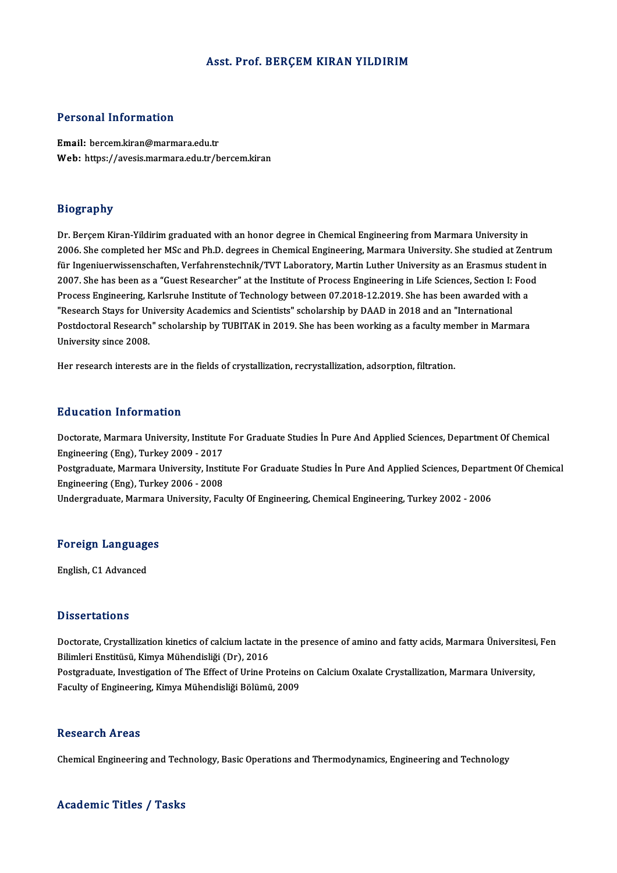#### Asst. Prof. BERÇEM KIRAN YILDIRIM

#### Personal Information

Email: bercem.kiran@marmara.edu.tr Web: https://avesis.marmara.edu.tr/bercem.kiran

#### Biography

Dr. Berçem Kiran-Yildirim graduated with an honor degree in Chemical Engineering from Marmara University in 2006. She completed her MSc and Ph.D. degrees in Chemical Engineering, Marmara University. She studied at Zentrum Dr. Berçem Kiran-Yildirim graduated with an honor degree in Chemical Engineering from Marmara University in<br>2006. She completed her MSc and Ph.D. degrees in Chemical Engineering, Marmara University. She studied at Zentrum<br> 2006. She completed her MSc and Ph.D. degrees in Chemical Engineering, Marmara University. She studied at Zentr<br>für Ingeniuerwissenschaften, Verfahrenstechnik/TVT Laboratory, Martin Luther University as an Erasmus student<br> für Ingeniuerwissenschaften, Verfahrenstechnik/TVT Laboratory, Martin Luther University as an Erasmus studer<br>2007. She has been as a "Guest Researcher" at the Institute of Process Engineering in Life Sciences, Section I: F 2007. She has been as a "Guest Researcher" at the Institute of Process Engineering in Life Sciences, Section I: Food<br>Process Engineering, Karlsruhe Institute of Technology between 07.2018-12.2019. She has been awarded with Postdoctoral Research" scholarship by TUBITAK in 2019. She has been working as a faculty member in Marmara<br>University since 2008. "Research Stays for University Academics and Scientists" scholarship by DAAD in 2018 and an "International

Her research interests are in the fields of crystallization, recrystallization, adsorption, filtration.

#### Education Information

Education Information<br>Doctorate, Marmara University, Institute For Graduate Studies İn Pure And Applied Sciences, Department Of Chemical<br>Engineering (Eng), Turkey 2009–2017 Eu abation Thromation<br>Doctorate, Marmara University, Institute<br>Engineering (Eng), Turkey 2009 - 2017<br>Postaraduate, Marmara University, Insti Doctorate, Marmara University, Institute For Graduate Studies İn Pure And Applied Sciences, Department Of Chemical<br>Engineering (Eng), Turkey 2009 - 2017<br>Postgraduate, Marmara University, Institute For Graduate Studies İn P Engineering (Eng), Turkey 2009 - 2017<br>Postgraduate, Marmara University, Institute For Graduate Studies İn Pure And Applied Sciences, Department Of Chemical<br>Engineering (Eng), Turkey 2006 - 2008 Undergraduate, Marmara University, Faculty Of Engineering, Chemical Engineering, Turkey 2002 - 2006

## <sub>ondergraduate, marmara</sub><br>Foreign Languages <mark>Foreign Languag</mark>e<br>English, C1 Advanced

English, C1 Advanced<br>Dissertations

Dissertations<br>Doctorate, Crystallization kinetics of calcium lactate in the presence of amino and fatty acids, Marmara Üniversitesi, Fen<br>Rilimlori Enstitüsü, Kimya Mühandisliği (Dr.), 2016 Bilimleri<br>Bilimleri Enstitüsü, Kimya Mühendisliği (Dr), 2016<br>Bestaraduata Investitation of The Effect of Urine B Doctorate, Crystallization kinetics of calcium lactate in the presence of amino and fatty acids, Marmara Üniversitesi<br>Bilimleri Enstitüsü, Kimya Mühendisliği (Dr), 2016<br>Postgraduate, Investigation of The Effect of Urine Pr

Bilimleri Enstitüsü, Kimya Mühendisliği (Dr), 2016<br>Postgraduate, Investigation of The Effect of Urine Proteins on Calcium Oxalate Crystallization, Marmara University,<br>Faculty of Engineering, Kimya Mühendisliği Bölümü, 2009

#### **Research Areas**

Chemical Engineering and Technology, Basic Operations and Thermodynamics, Engineering and Technology

#### Academic Titles / Tasks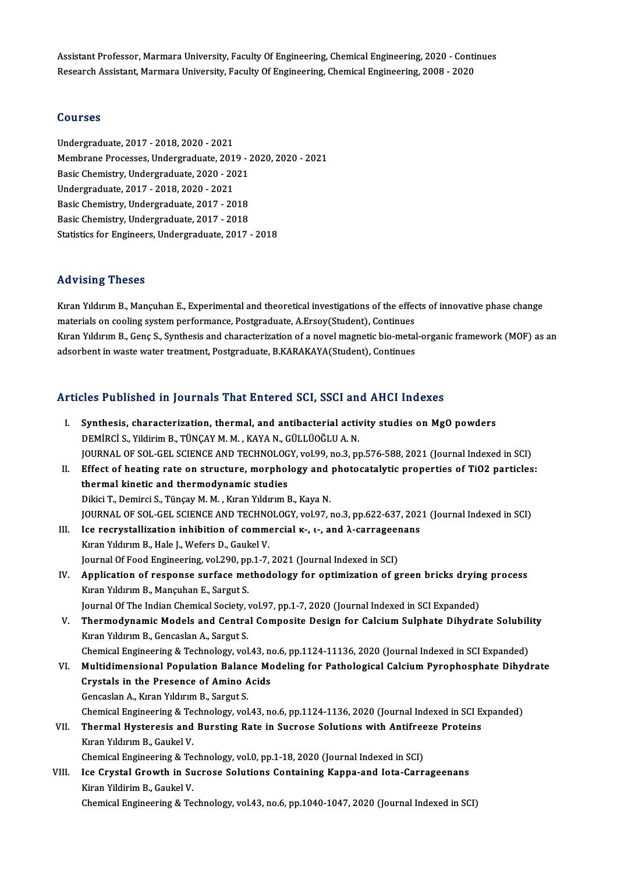Assistant Professor, Marmara University, Faculty Of Engineering, Chemical Engineering, 2020 - Continues<br>Pessarsh Assistant Marmara University, Faculty Of Engineering, Chemical Engineering, 2009 - Continues Assistant Professor, Marmara University, Faculty Of Engineering, Chemical Engineering, 2020 - Conti<br>Research Assistant, Marmara University, Faculty Of Engineering, Chemical Engineering, 2008 - 2020 Research Assistant, Marmara University, Faculty Of Engineering, Chemical Engineering, 2008 - 2020<br>Courses

Undergraduate,2017 -2018,2020 -2021 SS&1999<br>Undergraduate, 2017 - 2018, 2020 - 2021<br>Membrane Processes, Undergraduate, 2019 - 2020, 2020 - 2021<br>Pesis Chemistry, Undergraduate, 2020, -2021 Undergraduate, 2017 - 2018, 2020 - 2021<br>Membrane Processes, Undergraduate, 2019 - .<br>Basic Chemistry, Undergraduate, 2020 - 2021<br>Undergraduate, 2017, 2018, 2020, 2021 Membrane Processes, Undergraduate, 2013<br>Basic Chemistry, Undergraduate, 2020 - 20<br>Undergraduate, 2017 - 2018, 2020 - 2021<br>Basic Chemistry, Undergraduate, 2017 - 20 Basic Chemistry, Undergraduate, 2020 - 2021<br>Undergraduate, 2017 - 2018, 2020 - 2021<br>Basic Chemistry, Undergraduate, 2017 - 2018<br>Basic Chemistry, Undergraduate, 2017 - 2018 Undergraduate, 2017 - 2018, 2020 - 2021<br>Basic Chemistry, Undergraduate, 2017 - 2018<br>Basic Chemistry, Undergraduate, 2017 - 2018<br>Statistics for Engineers Undergraduate, 2017 Basic Chemistry, Undergraduate, 2017 - 2018<br>Statistics for Engineers, Undergraduate, 2017 - 2018

#### Advising Theses

Kıran Yıldırım B., Mançuhan E., Experimental and theoretical investigations of the effects of innovative phase change materials oncools<br>Kiran Yildirim B., Mançuhan E., Experimental and theoretical investigations of the effec<br>materials on cooling system performance, Postgraduate, A.Ersoy(Student), Continues<br>Kiran Yildirim B. Cons S. Syntho Kıran Yıldırım B., Genç S., Synthesis and characterization of a novel magnetic bio-metal-organic framework (MOF) as an<br>adsorbent in waste water treatment, Postgraduate, B.KARAKAYA(Student), Continues materials on cooling system performance, Postgraduate, A.Ersoy(Student), Continues<br>Kıran Yıldırım B., Genç S., Synthesis and characterization of a novel magnetic bio-metal<br>adsorbent in waste water treatment, Postgraduate,

# adsorbent in waste water treatment, Postgraduate, B.KARAKATA(Student), Continues<br>Articles Published in Journals That Entered SCI, SSCI and AHCI Indexes

| Articles Published in Journals That Entered SCI, SSCI and AHCI Indexes |                                                                                                        |  |
|------------------------------------------------------------------------|--------------------------------------------------------------------------------------------------------|--|
| Ι.                                                                     | Synthesis, characterization, thermal, and antibacterial activity studies on MgO powders                |  |
|                                                                        | DEMİRCİ S., Yildirim B., TÜNÇAY M. M., KAYA N., GÜLLÜOĞLU A. N.                                        |  |
|                                                                        | JOURNAL OF SOL-GEL SCIENCE AND TECHNOLOGY, vol.99, no.3, pp.576-588, 2021 (Journal Indexed in SCI)     |  |
| П.                                                                     | Effect of heating rate on structure, morphology and photocatalytic properties of TiO2 particles:       |  |
|                                                                        | thermal kinetic and thermodynamic studies                                                              |  |
|                                                                        | Dikici T., Demirci S., Tünçay M. M., Kıran Yıldırım B., Kaya N.                                        |  |
|                                                                        | JOURNAL OF SOL-GEL SCIENCE AND TECHNOLOGY, vol.97, no.3, pp.622-637, 2021 (Journal Indexed in SCI)     |  |
| III.                                                                   | Ice recrystallization inhibition of commercial K-, I-, and $\lambda$ -carrageenans                     |  |
|                                                                        | Kıran Yıldırım B., Hale J., Wefers D., Gaukel V.                                                       |  |
|                                                                        | Journal Of Food Engineering, vol.290, pp.1-7, 2021 (Journal Indexed in SCI)                            |  |
| IV.                                                                    | Application of response surface methodology for optimization of green bricks drying process            |  |
|                                                                        | Kıran Yıldırım B., Mançuhan E., Sargut S.                                                              |  |
|                                                                        | Journal Of The Indian Chemical Society, vol.97, pp.1-7, 2020 (Journal Indexed in SCI Expanded)         |  |
| V.                                                                     | Thermodynamic Models and Central Composite Design for Calcium Sulphate Dihydrate Solubility            |  |
|                                                                        | Kıran Yıldırım B., Gencaslan A., Sargut S.                                                             |  |
|                                                                        | Chemical Engineering & Technology, vol.43, no.6, pp.1124-11136, 2020 (Journal Indexed in SCI Expanded) |  |
| VI.                                                                    | Multidimensional Population Balance Modeling for Pathological Calcium Pyrophosphate Dihydrate          |  |
|                                                                        | Crystals in the Presence of Amino Acids                                                                |  |
|                                                                        | Gencaslan A., Kıran Yıldırım B., Sargut S.                                                             |  |
|                                                                        | Chemical Engineering & Technology, vol.43, no.6, pp.1124-1136, 2020 (Journal Indexed in SCI Expanded)  |  |
| VII.                                                                   | Thermal Hysteresis and Bursting Rate in Sucrose Solutions with Antifreeze Proteins                     |  |
|                                                                        | Kıran Yıldırım B., Gaukel V.                                                                           |  |
|                                                                        | Chemical Engineering & Technology, vol.0, pp.1-18, 2020 (Journal Indexed in SCI)                       |  |
| VIII.                                                                  | Ice Crystal Growth in Sucrose Solutions Containing Kappa-and Iota-Carrageenans                         |  |
|                                                                        | Kiran Yildirim B., Gaukel V.                                                                           |  |
|                                                                        | Chemical Engineering & Technology, vol.43, no.6, pp.1040-1047, 2020 (Journal Indexed in SCI)           |  |
|                                                                        |                                                                                                        |  |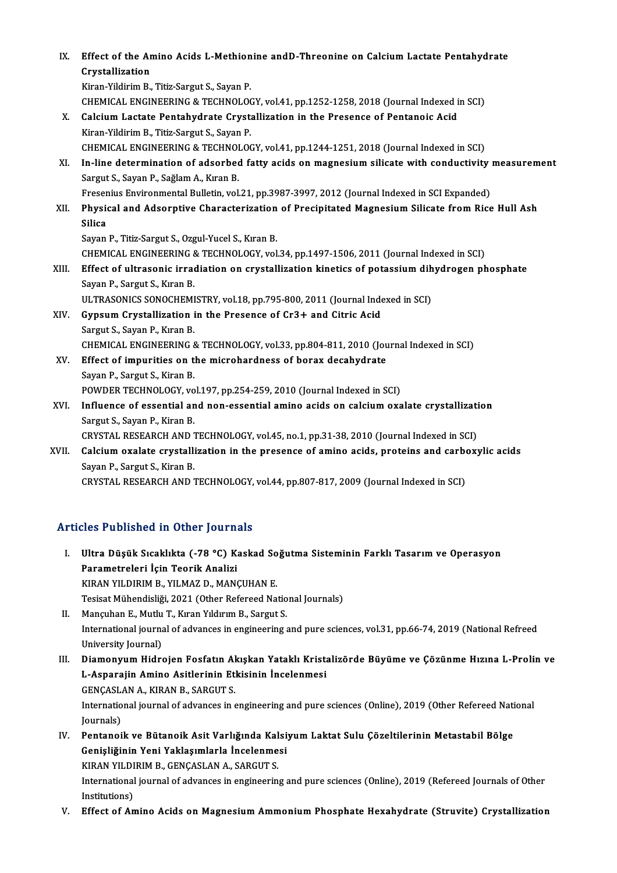| IX.   | Effect of the Amino Acids L-Methionine and D-Threonine on Calcium Lactate Pentahydrate            |
|-------|---------------------------------------------------------------------------------------------------|
|       | Crystallization                                                                                   |
|       | Kiran-Yildirim B., Titiz-Sargut S., Sayan P.                                                      |
|       | CHEMICAL ENGINEERING & TECHNOLOGY, vol.41, pp.1252-1258, 2018 (Journal Indexed in SCI)            |
| Х.    | Calcium Lactate Pentahydrate Crystallization in the Presence of Pentanoic Acid                    |
|       | Kiran-Yildirim B., Titiz-Sargut S., Sayan P.                                                      |
|       | CHEMICAL ENGINEERING & TECHNOLOGY, vol.41, pp.1244-1251, 2018 (Journal Indexed in SCI)            |
| XI.   | In-line determination of adsorbed fatty acids on magnesium silicate with conductivity measurement |
|       | Sargut S., Sayan P., Sağlam A., Kıran B.                                                          |
|       | Fresenius Environmental Bulletin, vol.21, pp.3987-3997, 2012 (Journal Indexed in SCI Expanded)    |
| XII.  | Physical and Adsorptive Characterization of Precipitated Magnesium Silicate from Rice Hull Ash    |
|       | <b>Silica</b>                                                                                     |
|       | Sayan P., Titiz-Sargut S., Ozgul-Yucel S., Kıran B.                                               |
|       | CHEMICAL ENGINEERING & TECHNOLOGY, vol.34, pp.1497-1506, 2011 (Journal Indexed in SCI)            |
| XIII. | Effect of ultrasonic irradiation on crystallization kinetics of potassium dihydrogen phosphate    |
|       | Sayan P., Sargut S., Kıran B.                                                                     |
|       | ULTRASONICS SONOCHEMISTRY, vol.18, pp.795-800, 2011 (Journal Indexed in SCI)                      |
| XIV.  | Gypsum Crystallization in the Presence of Cr3+ and Citric Acid                                    |
|       | Sargut S., Sayan P., Kıran B.                                                                     |
|       | CHEMICAL ENGINEERING & TECHNOLOGY, vol.33, pp.804-811, 2010 (Journal Indexed in SCI)              |
| XV.   | Effect of impurities on the microhardness of borax decahydrate                                    |
|       | Sayan P., Sargut S., Kiran B.                                                                     |
|       | POWDER TECHNOLOGY, vol.197, pp.254-259, 2010 (Journal Indexed in SCI)                             |
| XVI.  | Influence of essential and non-essential amino acids on calcium oxalate crystallization           |
|       | Sargut S., Sayan P., Kiran B.                                                                     |
|       | CRYSTAL RESEARCH AND TECHNOLOGY, vol.45, no.1, pp.31-38, 2010 (Journal Indexed in SCI)            |
| XVII. | Calcium oxalate crystallization in the presence of amino acids, proteins and carboxylic acids     |
|       | Sayan P., Sargut S., Kiran B.                                                                     |
|       | CRYSTAL RESEARCH AND TECHNOLOGY, vol.44, pp.807-817, 2009 (Journal Indexed in SCI)                |
|       |                                                                                                   |

## Articles Published in Other Journals

I. Ultra Düşük Sıcaklıkta (-78 °C) Kaskad Soğutma Sisteminin Farklı Tasarım ve Operasyon Parametreleri İçin Teorik Analizi Ultra Düşük Sıcaklıkta (-78 °C) Kaskad So<br>Parametreleri İçin Teorik Analizi<br>KIRAN YILDIRIM B., YILMAZ D., MANÇUHAN E.<br>Tesisat Mühandisliği 2021 (Other Befersed Na Tesisat Mühendisliği, 2021 (Other Refereed National Journals)<br>II. Mançuhan E., Mutlu T., Kıran Yıldırım B., Sargut S. KIRAN YILDIRIM B., YILMAZ D., MANÇUHAN E.<br>Tesisat Mühendisliği, 2021 (Other Refereed National).<br>II. Mançuhan E., Mutlu T., Kıran Yıldırım B., Sargut S.

Tesisat Mühendisliği, 2021 (Other Refereed National Journals)<br>Mançuhan E., Mutlu T., Kıran Yıldırım B., Sargut S.<br>International journal of advances in engineering and pure sciences, vol.31, pp.66-74, 2019 (National Refreed Mançuhan E., Mutlu<br>International journa<br>University Journal)<br>Diamonyum Hidro I I. DiamonyumHidrojen Fosfatın Akışkan Yataklı Kristalizörde Büyüme ve Çözünme Hızına L-Prolin ve

- University Journal)<br>Diamonyum Hidrojen Fosfatın Akışkan Yataklı Krista<br>L-Asparajin Amino Asitlerinin Etkisinin İncelenmesi<br>CENCASLAN A, KIRAN R, SARCUTS Diamonyum Hidrojen Fosfatın Al<br>L-Asparajin Amino Asitlerinin Eti<br>GENÇASLAN A., KIRAN B., SARGUT S.<br>International journal of advances in a L-Asparajin Amino Asitlerinin Etkisinin İncelenmesi<br>GENÇASLAN A., KIRAN B., SARGUT S.<br>International journal of advances in engineering and pure sciences (Online), 2019 (Other Refereed National<br>Journale) GENÇASL<br>Internatio<br>Journals)<br>Pentanoi
- International journal of advances in engineering and pure sciences (Online), 2019 (Other Refereed Nation Journals)<br>IV. Pentanoik ve Bütanoik Asit Varlığında Kalsiyum Laktat Sulu Çözeltilerinin Metastabil Bölge<br>Conisliğinin Journals)<br>Pentanoik ve Bütanoik Asit Varlığında Kalsi<br>Genişliğinin Yeni Yaklaşımlarla İncelenmesi<br>KIRAN VILDIPIM B. GENÇASI AN A. SARCIT S. Pentanoik ve Bütanoik Asit Varlığında Kal<br>Genişliğinin Yeni Yaklaşımlarla İncelenme<br>KIRAN YILDIRIM B., GENÇASLAN A., SARGUT S.<br>International journal of advances in ongineerin Genişliğinin Yeni Yaklaşımlarla İncelenmesi<br>KIRAN YILDIRIM B., GENÇASLAN A., SARGUT S.<br>International journal of advances in engineering and pure sciences (Online), 2019 (Refereed Journals of Other<br>Institutions) KIRAN YILDIRIM B., GENÇASLAN A., SARGUT S.
- V. Effect of Amino Acids on Magnesium Ammonium Phosphate Hexahydrate (Struvite) Crystallization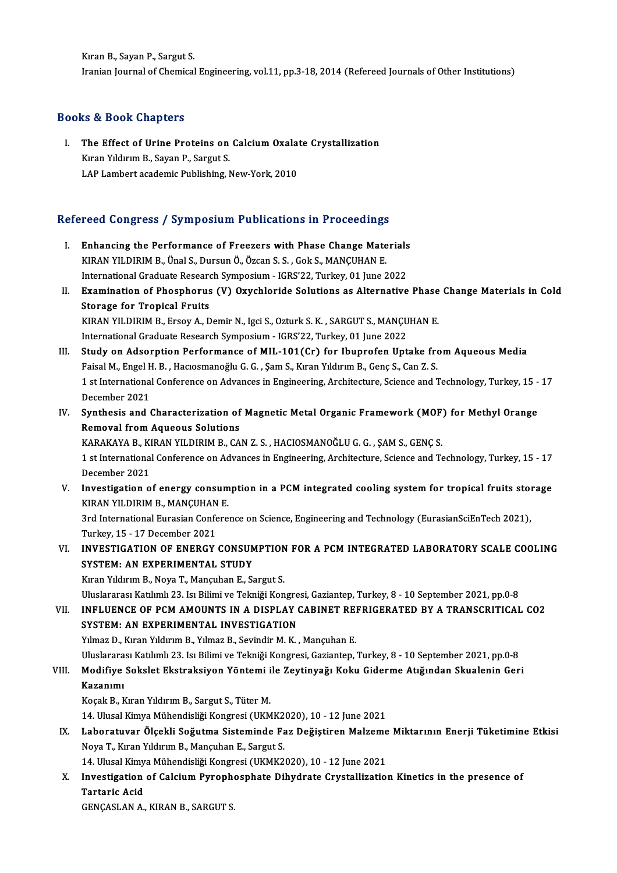KıranB.,SayanP.,SargutS. Iranian Journal of Chemical Engineering, vol.11, pp.3-18, 2014 (Refereed Journals of Other Institutions)

## Books&Book Chapters

ooks & Book Chapters<br>I. The Effect of Urine Proteins on Calcium Oxalate Crystallization Exampless<br>The Effect of Urine Proteins on<br>Kıran Yıldırım B., Sayan P., Sargut S.<br>LAB Lambert academic Bublishing J The Effect of Urine Proteins on Calcium Oxala<br>Kıran Yıldırım B., Sayan P., Sargut S.<br>LAP Lambert academic Publishing, New-York, 2010

## LAP Lambert academic Publishing, New-York, 2010<br>Refereed Congress / Symposium Publications in Proceedings

- efereed Congress / Symposium Publications in Proceedings<br>I. Enhancing the Performance of Freezers with Phase Change Materials<br>KIRAN VILDIBIM B Unal S. Dursun Ö. Özgan S. S. Gok S. MANGUHAN E Enhancing the Performance of Freezers with Phase Change Mate<br>KIRAN YILDIRIM B., Ünal S., Dursun Ö., Özcan S. S., Gok S., MANÇUHAN E.<br>International Craduate Bessersh Sumnesium. ICBS'22. Turkey, 01 June 3 Enhancing the Performance of Freezers with Phase Change Materials<br>KIRAN YILDIRIM B., Ünal S., Dursun Ö., Özcan S. S. , Gok S., MANÇUHAN E.<br>International Graduate Research Symposium - IGRS'22, Turkey, 01 June 2022<br>Examinati International Graduate Research Symposium - IGRS'22, Turkey, 01 June 2022
- KIRAN YILDIRIM B., Ünal S., Dursun Ö., Özcan S. S. , Gok S., MANÇUHAN E.<br>International Graduate Research Symposium IGRS'22, Turkey, 01 June 2022<br>II. Examination of Phosphorus (V) Oxychloride Solutions as Alternative Phas Examination of Phosphorus (V) Oxychloride Solutions as Alternative Phase<br>Storage for Tropical Fruits<br>KIRAN YILDIRIM B., Ersoy A., Demir N., Igci S., Ozturk S. K. , SARGUT S., MANÇUHAN E.<br>International Croduate Besearch Sum Storage for Tropical Fruits<br>KIRAN YILDIRIM B., Ersoy A., Demir N., Igci S., Ozturk S. K. , SARGUT S., MANÇU<br>International Graduate Research Symposium - IGRS'22, Turkey, 01 June 2022<br>Study on Adsorption Berformange of MIL 1 KIRAN YILDIRIM B., Ersoy A., Demir N., Igci S., Ozturk S. K., SARGUT S., MANÇUHAN E.<br>International Graduate Research Symposium - IGRS'22, Turkey, 01 June 2022<br>III. Study on Adsorption Performance of MIL-101(Cr) for Ibuprof
- International Graduate Research Symposium IGRS'22, Turkey, 01 June 2022<br>III. Study on Adsorption Performance of MIL-101(Cr) for Ibuprofen Uptake from Aqueous Media<br>Faisal M., Engel H. B. , Hacıosmanoğlu G. G. , Şam S., K Study on Adsorption Performance of MIL-101(Cr) for Ibuprofen Uptake from Aqueous Media<br>Faisal M., Engel H. B. , Hacıosmanoğlu G. G. , Şam S., Kıran Yıldırım B., Genç S., Can Z. S.<br>1 st International Conference on Advances Faisal M., Engel H<br>1 st International<br>December 2021<br>Synthosis and 1 1 st International Conference on Advances in Engineering, Architecture, Science and Technology, Turkey, 15 -<br>December 2021<br>IV. Synthesis and Characterization of Magnetic Metal Organic Framework (MOF) for Methyl Orange<br>Reme
- December 2021<br>IV. Synthesis and Characterization of Magnetic Metal Organic Framework (MOF) for Methyl Orange<br>Removal from Aqueous Solutions Synthesis and Characterization of Magnetic Metal Organic Framework (MOF)<br>Removal from Aqueous Solutions<br>KARAKAYA B., KIRAN YILDIRIM B., CAN Z. S. , HACIOSMANOĞLU G. G. , ŞAM S., GENÇ S.<br>1 et International Conference on Adv

Removal from Aqueous Solutions<br>KARAKAYA B., KIRAN YILDIRIM B., CAN Z. S. , HACIOSMANOĞLU G. G. , ŞAM S., GENÇ S.<br>1 st International Conference on Advances in Engineering, Architecture, Science and Technology, Turkey, 15 - KARAKAYA B., KI<br>1 st International<br>December 2021<br>Investigation e 1 st International Conference on Advances in Engineering, Architecture, Science and Technology, Turkey, 15 - 17<br>December 2021<br>V. Investigation of energy consumption in a PCM integrated cooling system for tropical fruits st

- December 2021<br>Investigation of energy consum<br>KIRAN YILDIRIM B., MANÇUHAN E.<br><sup>2nd International Eurosian Confore</sup> V. Investigation of energy consumption in a PCM integrated cooling system for tropical fruits storage<br>KIRAN YILDIRIM B., MANÇUHAN E.<br>3rd International Eurasian Conference on Science, Engineering and Technology (EurasianSci KIRAN YILDIRIM B., MANÇUHAN<br>3rd International Eurasian Confe<br>Turkey, 15 - 17 December 2021<br>INVESTIC ATION OF ENERCY
- 3rd International Eurasian Conference on Science, Engineering and Technology (EurasianSciEnTech 2021),<br>Turkey, 15 17 December 2021<br>VI. INVESTIGATION OF ENERGY CONSUMPTION FOR A PCM INTEGRATED LABORATORY SCALE COOLING<br>SVS Turkey, 15 - 17 December 2021<br>INVESTIGATION OF ENERGY CONSUM<br>SYSTEM: AN EXPERIMENTAL STUDY<br>Kusa Viduum B. Nova T. Manguban E. S

INVESTIGATION OF ENERGY CONSUMPTION<br>SYSTEM: AN EXPERIMENTAL STUDY<br>Kıran Yıldırım B., Noya T., Mançuhan E., Sargut S.<br>Huslararası Katılımlı 22. Jsı Bilimi ve Telmiği Kon SYSTEM: AN EXPERIMENTAL STUDY<br>Kıran Yıldırım B., Noya T., Mançuhan E., Sargut S.<br>Uluslararası Katılımlı 23. Isı Bilimi ve Tekniği Kongresi, Gaziantep, Turkey, 8 - 10 September 2021, pp.0-8 Kıran Yıldırım B., Noya T., Mançuhan E., Sargut S.<br>Uluslararası Katılımlı 23. Isı Bilimi ve Tekniği Kongresi, Gaziantep, Turkey, 8 - 10 September 2021, pp.0-8<br>VII. INFLUENCE OF PCM AMOUNTS IN A DISPLAY CABINET REFRIGERATED

Uluslararası Katılımlı 23. Isı Bilimi ve Tekniği Kongre<br>INFLUENCE OF PCM AMOUNTS IN A DISPLAY (<br>SYSTEM: AN EXPERIMENTAL INVESTIGATION<br><sup>Vilmag D.</sup> Kıran Yıldırım B. Vilmag B. Sovindir M. K INFLUENCE OF PCM AMOUNTS IN A DISPLAY CABINET REN<br>SYSTEM: AN EXPERIMENTAL INVESTIGATION<br>Yılmaz D., Kıran Yıldırım B., Yılmaz B., Sevindir M. K. , Mançuhan E.<br>Hluslararası Katılmlı 22-le Bilimi ve Telmiği Kongresi Cazionton SYSTEM: AN EXPERIMENTAL INVESTIGATION<br>Yılmaz D., Kıran Yıldırım B., Yılmaz B., Sevindir M. K. , Mançuhan E.<br>Uluslararası Katılımlı 23. Isı Bilimi ve Tekniği Kongresi, Gaziantep, Turkey, 8 - 10 September 2021, pp.0-8<br>Modifi

Yılmaz D., Kıran Yıldırım B., Yılmaz B., Sevindir M. K. , Mançuhan E.<br>Uluslararası Katılımlı 23. Isı Bilimi ve Tekniği Kongresi, Gaziantep, Turkey, 8 - 10 September 2021, pp.0-8<br>VIII. Modifiye Sokslet Ekstraksiyon Yöntemi Uluslarara<br>Modifiye<br>Kazanımı<br><sup>Kocolı Bu</sub></sup> Modifiye Sokslet Ekstraksiyon Yöntemi i<br>Kazanımı<br>Koçak B., Kıran Yıldırım B., Sargut S., Tüter M.<br>14. Ulucel Kimyo Mühandieliği Kongresi (UKM Kazanımı<br>Koçak B., Kıran Yıldırım B., Sargut S., Tüter M.<br>14. Ulusal Kimya Mühendisliği Kongresi (UKMK2020), 10 - 12 June 2021

Koçak B., Kıran Yıldırım B., Sargut S., Tüter M.<br>14. Ulusal Kimya Mühendisliği Kongresi (UKMK2020), 10 - 12 June 2021<br>IX. Laboratuvar Ölçekli Soğutma Sisteminde Faz Değiştiren Malzeme Miktarının Enerji Tüketimine Etkis 14. Ulusal Kimya Mühendisliği Kongresi (UKMK2<br>Laboratuvar Ölçekli Soğutma Sisteminde Fa<br>Noya T., Kıran Yıldırım B., Mançuhan E., Sargut S.<br>14. Ulusal Kimya Mühandisliği Kongresi (UKMK2 Laboratuvar Ölçekli Soğutma Sisteminde Faz Değiştiren Malzeme<br>Noya T., Kıran Yıldırım B., Mançuhan E., Sargut S.<br>14. Ulusal Kimya Mühendisliği Kongresi (UKMK2020), 10 - 12 June 2021<br>Investisation of Calsium Buranbesphate D

Noya T., Kıran Yıldırım B., Mançuhan E., Sargut S.<br>14. Ulusal Kimya Mühendisliği Kongresi (UKMK2020), 10 - 12 June 2021<br>X. Investigation of Calcium Pyrophosphate Dihydrate Crystallization Kinetics in the presence of<br>Te 14. Ulusal Kimy<br>Investigation<br>Tartaric Acid Investigation of Calcium Pyroph<br>Tartaric Acid<br>GENÇASLAN A., KIRAN B., SARGUT S.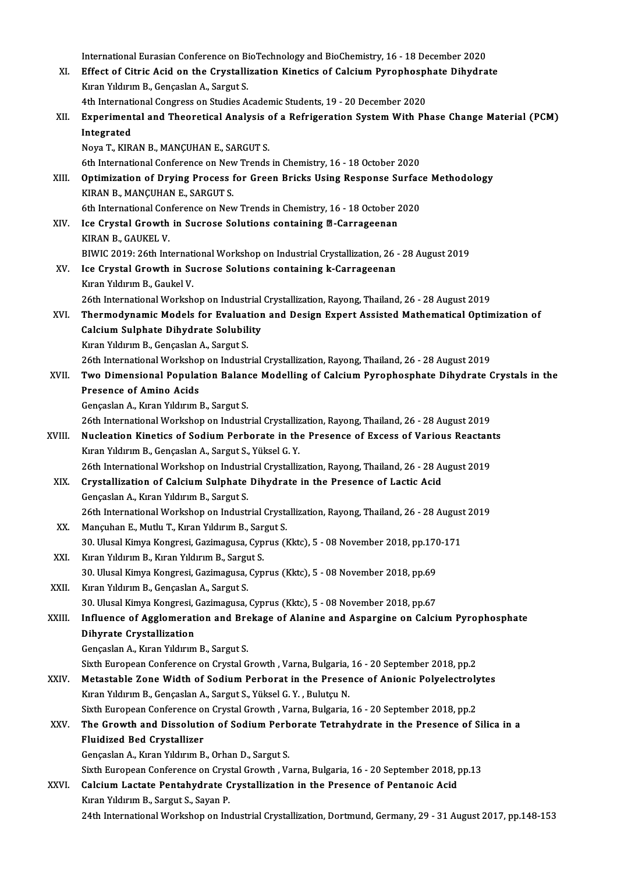|        | International Eurasian Conference on BioTechnology and BioChemistry, 16 - 18 December 2020                                      |
|--------|---------------------------------------------------------------------------------------------------------------------------------|
| XI.    | Effect of Citric Acid on the Crystallization Kinetics of Calcium Pyrophosphate Dihydrate                                        |
|        | Kıran Yıldırım B., Gençaslan A., Sargut S.                                                                                      |
|        | 4th International Congress on Studies Academic Students, 19 - 20 December 2020                                                  |
| XII.   | Experimental and Theoretical Analysis of a Refrigeration System With Phase Change Material (PCM)                                |
|        | Integrated                                                                                                                      |
|        | Noya T., KIRAN B., MANÇUHAN E., SARGUT S.                                                                                       |
|        | 6th International Conference on New Trends in Chemistry, 16 - 18 October 2020                                                   |
| XIII.  | Optimization of Drying Process for Green Bricks Using Response Surface Methodology                                              |
|        | KIRAN B., MANÇUHAN E., SARGUT S.                                                                                                |
|        | 6th International Conference on New Trends in Chemistry, 16 - 18 October 2020                                                   |
| XIV.   | Ice Crystal Growth in Sucrose Solutions containing @-Carrageenan                                                                |
|        | KIRAN B., GAUKEL V.                                                                                                             |
|        | BIWIC 2019: 26th International Workshop on Industrial Crystallization, 26 - 28 August 2019                                      |
| XV.    | Ice Crystal Growth in Sucrose Solutions containing k-Carrageenan                                                                |
|        | Kıran Yıldırım B., Gaukel V.                                                                                                    |
|        | 26th International Workshop on Industrial Crystallization, Rayong, Thailand, 26 - 28 August 2019                                |
| XVI.   | Thermodynamic Models for Evaluation and Design Expert Assisted Mathematical Optimization of                                     |
|        | Calcium Sulphate Dihydrate Solubility                                                                                           |
|        | Kıran Yıldırım B., Gençaslan A., Sargut S.                                                                                      |
|        | 26th International Workshop on Industrial Crystallization, Rayong, Thailand, 26 - 28 August 2019                                |
| XVII.  | Two Dimensional Population Balance Modelling of Calcium Pyrophosphate Dihydrate Crystals in the                                 |
|        | <b>Presence of Amino Acids</b>                                                                                                  |
|        | Gençaslan A., Kıran Yıldırım B., Sargut S.                                                                                      |
|        | 26th International Workshop on Industrial Crystallization, Rayong, Thailand, 26 - 28 August 2019                                |
| XVIII. | Nucleation Kinetics of Sodium Perborate in the Presence of Excess of Various Reactants                                          |
|        | Kıran Yıldırım B., Gençaslan A., Sargut S., Yüksel G. Y.                                                                        |
|        | 26th International Workshop on Industrial Crystallization, Rayong, Thailand, 26 - 28 August 2019                                |
| XIX.   | Crystallization of Calcium Sulphate Dihydrate in the Presence of Lactic Acid                                                    |
|        | Gençaslan A., Kıran Yıldırım B., Sargut S.                                                                                      |
|        | 26th International Workshop on Industrial Crystallization, Rayong, Thailand, 26 - 28 August 2019                                |
| XX.    | Mançuhan E., Mutlu T., Kıran Yıldırım B., Sargut S.                                                                             |
|        | 30. Ulusal Kimya Kongresi, Gazimagusa, Cyprus (Kktc), 5 - 08 November 2018, pp.170-171                                          |
| XXI.   | Kıran Yıldırım B., Kıran Yıldırım B., Sargut S.                                                                                 |
|        | 30. Ulusal Kimya Kongresi, Gazimagusa, Cyprus (Kktc), 5 - 08 November 2018, pp.69                                               |
| XXII.  | Kıran Yıldırım B., Gençaslan A., Sargut S.<br>30. Ulusal Kimya Kongresi, Gazimagusa, Cyprus (Kktc), 5 - 08 November 2018, pp.67 |
|        | Influence of Agglomeration and Brekage of Alanine and Aspargine on Calcium Pyrophosphate                                        |
| XXIII. | Dihyrate Crystallization                                                                                                        |
|        | Gençaslan A., Kıran Yıldırım B., Sargut S.                                                                                      |
|        | Sixth European Conference on Crystal Growth , Varna, Bulgaria, 16 - 20 September 2018, pp.2                                     |
| XXIV.  | Metastable Zone Width of Sodium Perborat in the Presence of Anionic Polyelectrolytes                                            |
|        | Kıran Yıldırım B., Gençaslan A., Sargut S., Yüksel G. Y., Bulutçu N.                                                            |
|        | Sixth European Conference on Crystal Growth , Varna, Bulgaria, 16 - 20 September 2018, pp.2                                     |
| XXV.   | The Growth and Dissolution of Sodium Perborate Tetrahydrate in the Presence of Silica in a                                      |
|        | <b>Fluidized Bed Crystallizer</b>                                                                                               |
|        | Gençaslan A., Kıran Yıldırım B., Orhan D., Sargut S.                                                                            |
|        | Sixth European Conference on Crystal Growth , Varna, Bulgaria, 16 - 20 September 2018, pp.13                                    |
| XXVI.  | Calcium Lactate Pentahydrate Crystallization in the Presence of Pentanoic Acid                                                  |
|        | Kıran Yıldırım B., Sargut S., Sayan P.                                                                                          |
|        | 24th International Workshop on Industrial Crystallization, Dortmund, Germany, 29 - 31 August 2017, pp.148-153                   |
|        |                                                                                                                                 |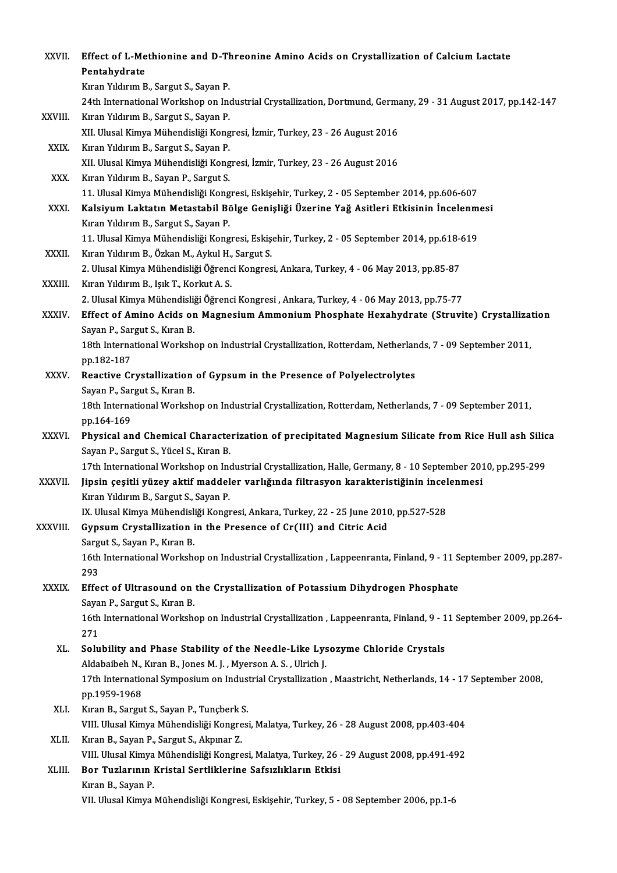| XXVII.       | Effect of L-Methionine and D-Threonine Amino Acids on Crystallization of Calcium Lactate<br>Pentahydrate                                         |
|--------------|--------------------------------------------------------------------------------------------------------------------------------------------------|
|              | Kıran Yıldırım B., Sargut S., Sayan P.                                                                                                           |
|              | 24th International Workshop on Industrial Crystallization, Dortmund, Germany, 29 - 31 August 2017, pp.142-147                                    |
| XXVIII.      | Kıran Yıldırım B., Sargut S., Sayan P.                                                                                                           |
|              | XII. Ulusal Kimya Mühendisliği Kongresi, İzmir, Turkey, 23 - 26 August 2016                                                                      |
| XXIX.        | Kıran Yıldırım B., Sargut S., Sayan P.                                                                                                           |
|              | XII. Ulusal Kimya Mühendisliği Kongresi, İzmir, Turkey, 23 - 26 August 2016                                                                      |
| XXX.         | Kıran Yıldırım B., Sayan P., Sargut S.                                                                                                           |
|              | 11. Ulusal Kimya Mühendisliği Kongresi, Eskişehir, Turkey, 2 - 05 September 2014, pp.606-607                                                     |
| XXXI.        | Kalsiyum Laktatın Metastabil Bölge Genişliği Üzerine Yağ Asitleri Etkisinin İncelenmesi                                                          |
|              | Kıran Yıldırım B., Sargut S., Sayan P.                                                                                                           |
| XXXII.       | 11. Ulusal Kimya Mühendisliği Kongresi, Eskişehir, Turkey, 2 - 05 September 2014, pp.618-619<br>Kıran Yıldırım B., Özkan M., Aykul H., Sargut S. |
|              | 2. Ulusal Kimya Mühendisliği Öğrenci Kongresi, Ankara, Turkey, 4 - 06 May 2013, pp.85-87                                                         |
| XXXIII.      | Kıran Yıldırım B., Işık T., Korkut A. S.                                                                                                         |
|              | 2. Ulusal Kimya Mühendisliği Öğrenci Kongresi , Ankara, Turkey, 4 - 06 May 2013, pp.75-77                                                        |
| <b>XXXIV</b> | Effect of Amino Acids on Magnesium Ammonium Phosphate Hexahydrate (Struvite) Crystallization                                                     |
|              | Sayan P., Sargut S., Kıran B.                                                                                                                    |
|              | 18th International Workshop on Industrial Crystallization, Rotterdam, Netherlands, 7 - 09 September 2011,                                        |
|              | pp 182-187                                                                                                                                       |
| XXXV.        | Reactive Crystallization of Gypsum in the Presence of Polyelectrolytes                                                                           |
|              | Sayan P., Sargut S., Kıran B.                                                                                                                    |
|              | 18th International Workshop on Industrial Crystallization, Rotterdam, Netherlands, 7 - 09 September 2011,                                        |
|              | pp 164-169                                                                                                                                       |
| <b>XXXVI</b> | Physical and Chemical Characterization of precipitated Magnesium Silicate from Rice Hull ash Silica                                              |
|              | Sayan P., Sargut S., Yücel S., Kıran B.                                                                                                          |
|              | 17th International Workshop on Industrial Crystallization, Halle, Germany, 8 - 10 September 2010, pp.295-299                                     |
| XXXVII       | Jipsin çeşitli yüzey aktif maddeler varlığında filtrasyon karakteristiğinin incelenmesi                                                          |
|              | Kıran Yıldırım B., Sargut S., Sayan P.                                                                                                           |
|              | IX. Ulusal Kimya Mühendisliği Kongresi, Ankara, Turkey, 22 - 25 June 2010, pp.527-528                                                            |
| XXXVIII.     | Gypsum Crystallization in the Presence of Cr(III) and Citric Acid<br>Sargut S., Sayan P., Kıran B.                                               |
|              | 16th International Workshop on Industrial Crystallization, Lappeenranta, Finland, 9 - 11 September 2009, pp.287-                                 |
|              | 293                                                                                                                                              |
| XXXIX.       | Effect of Ultrasound on the Crystallization of Potassium Dihydrogen Phosphate                                                                    |
|              | Sayan P., Sargut S., Kıran B.                                                                                                                    |
|              | 16th International Workshop on Industrial Crystallization, Lappeenranta, Finland, 9 - 11 September 2009, pp.264-                                 |
|              | 271                                                                                                                                              |
| XL.          | Solubility and Phase Stability of the Needle-Like Lysozyme Chloride Crystals                                                                     |
|              | Aldabaibeh N., Kıran B., Jones M. J., Myerson A. S., Ulrich J.                                                                                   |
|              | 17th International Symposium on Industrial Crystallization, Maastricht, Netherlands, 14 - 17 September 2008,                                     |
|              | pp 1959-1968                                                                                                                                     |
| XLI.         | Kıran B., Sargut S., Sayan P., Tunçberk S.                                                                                                       |
|              | VIII. Ulusal Kimya Mühendisliği Kongresi, Malatya, Turkey, 26 - 28 August 2008, pp.403-404                                                       |
| XLII.        | Kıran B., Sayan P., Sargut S., Akpınar Z.                                                                                                        |
|              | VIII. Ulusal Kimya Mühendisliği Kongresi, Malatya, Turkey, 26 - 29 August 2008, pp.491-492                                                       |
| XLIII.       | Bor Tuzlarının Kristal Sertliklerine Safsızlıkların Etkisi                                                                                       |
|              | Kıran B., Sayan P.                                                                                                                               |
|              | VII. Ulusal Kimya Mühendisliği Kongresi, Eskişehir, Turkey, 5 - 08 September 2006, pp.1-6                                                        |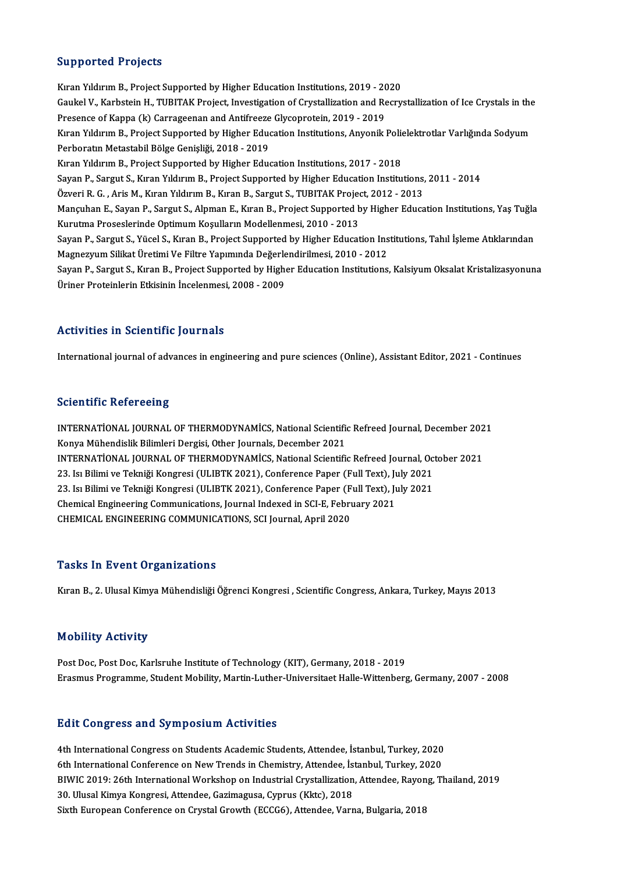#### Supported Projects

Kıran Yıldırım B., Project Supported by Higher Education Institutions, 2019 - 2020 Barp Britical I Projects<br>Kiran Yildirim B., Project Supported by Higher Education Institutions, 2019 - 2020<br>Gaukel V., Karbstein H., TUBITAK Project, Investigation of Crystallization and Recrystallization of Ice Crystals i Kıran Yıldırım B., Project Supported by Higher Education Institutions, 2019 - 20<br>Gaukel V., Karbstein H., TUBITAK Project, Investigation of Crystallization and Re<br>Presence of Kappa (k) Carrageenan and Antifreeze Glycoprote Gaukel V., Karbstein H., TUBITAK Project, Investigation of Crystallization and Recrystallization of Ice Crystals in the<br>Presence of Kappa (k) Carrageenan and Antifreeze Glycoprotein, 2019 - 2019<br>Kıran Yıldırım B., Project Presence of Kappa (k) Carrageenan and Antifreeze<br>Kıran Yıldırım B., Project Supported by Higher Educ<br>Perboratın Metastabil Bölge Genişliği, 2018 - 2019<br>Kıran Yıldırım B., Project Supported by Higher Educ Kıran Yıldırım B., Project Supported by Higher Education Institutions, Anyonik Polielektrotlar Varlığında Sodyum<br>Perboratın Metastabil Bölge Genişliği, 2018 - 2019<br>Kıran Yıldırım B., Project Supported by Higher Education I Perboratın Metastabil Bölge Genişliği, 2018 - 2019<br>Kıran Yıldırım B., Project Supported by Higher Education Institutions, 2017 - 2018<br>Sayan P., Sargut S., Kıran Yıldırım B., Project Supported by Higher Education Institutio Kıran Yıldırım B., Project Supported by Higher Education Institutions, 2017 - 2018<br>Sayan P., Sargut S., Kıran Yıldırım B., Project Supported by Higher Education Institutions,<br>Özveri R. G. , Aris M., Kıran Yıldırım B., Kıra Sayan P., Sargut S., Kıran Yıldırım B., Project Supported by Higher Education Institutions, 2011 - 2014<br>Özveri R. G. , Aris M., Kıran Yıldırım B., Kıran B., Sargut S., TUBITAK Project, 2012 - 2013<br>Mançuhan E., Sayan P., Sa Özveri R. G. , Aris M., Kıran Yıldırım B., Kıran B., Sargut S., TUBITAK Projed<br>Mançuhan E., Sayan P., Sargut S., Alpman E., Kıran B., Project Supported b<br>Kurutma Proseslerinde Optimum Koşulların Modellenmesi, 2010 - 2013<br>S Mançuhan E., Sayan P., Sargut S., Alpman E., Kıran B., Project Supported by Higher Education Institutions, Yaş Tuğla<br>Kurutma Proseslerinde Optimum Koşulların Modellenmesi, 2010 - 2013<br>Sayan P., Sargut S., Yücel S., Kıran B Kurutma Proseslerinde Optimum Koşulların Modellenmesi, 2010 - 2013<br>Sayan P., Sargut S., Yücel S., Kıran B., Project Supported by Higher Education Ins<br>Magnezyum Silikat Üretimi Ve Filtre Yapımında Değerlendirilmesi, 2010 - Sayan P., Sargut S., Yücel S., Kıran B., Project Supported by Higher Education Institutions, Tahıl İşleme Atıklarından<br>Magnezyum Silikat Üretimi Ve Filtre Yapımında Değerlendirilmesi, 2010 - 2012<br>Sayan P., Sargut S., Kıran Magnezyum Silikat Üretimi Ve Filtre Yapımında Değerle<br>Sayan P., Sargut S., Kıran B., Project Supported by High<br>Üriner Proteinlerin Etkisinin İncelenmesi, 2008 - 2009

## Activities in Scientific Journals

International journal of advances in engineering and pure sciences (Online), Assistant Editor, 2021 - Continues

## **Scientific Refereeing**

Scientific Refereeing<br>INTERNATİONAL JOURNAL OF THERMODYNAMİCS, National Scientific Refreed Journal, December 2021<br>Konva Mühandislik Bilimleri Dergisi, Other Journals, December 2021 Botomente Refereering<br>INTERNATİONAL JOURNAL OF THERMODYNAMİCS, National Scientific<br>Konya Mühendislik Bilimleri Dergisi, Other Journals, December 2021<br>INTERNATİONAL JOURNAL OF THERMODYNAMİCS, National Scientific INTERNATİONAL JOURNAL OF THERMODYNAMİCS, National Scientific Refreed Journal, December 202<br>Konya Mühendislik Bilimleri Dergisi, Other Journals, December 2021<br>INTERNATİONAL JOURNAL OF THERMODYNAMİCS, National Scientific Ref Konya Mühendislik Bilimleri Dergisi, Other Journals, December 2021<br>INTERNATİONAL JOURNAL OF THERMODYNAMİCS, National Scientific Refreed Journal, Oc<br>23. Isı Bilimi ve Tekniği Kongresi (ULIBTK 2021), Conference Paper (Full T INTERNATİONAL JOURNAL OF THERMODYNAMİCS, National Scientific Refreed Journal, Oc<br>23. Isı Bilimi ve Tekniği Kongresi (ULIBTK 2021), Conference Paper (Full Text), July 2021<br>23. Isı Bilimi ve Tekniği Kongresi (ULIBTK 2021), C 23. Isı Bilimi ve Tekniği Kongresi (ULIBTK 2021), Conference Paper (Full Text), Ju<br>23. Isı Bilimi ve Tekniği Kongresi (ULIBTK 2021), Conference Paper (Full Text), Ju<br>Chemical Engineering Communications, Journal Indexed in 23. Isı Bilimi ve Tekniği Kongresi (ULIBTK 2021), Conference Paper (F<br>Chemical Engineering Communications, Journal Indexed in SCI-E, Febrı<br>CHEMICAL ENGINEERING COMMUNICATIONS, SCI Journal, April 2020 CHEMICAL ENGINEERING COMMUNICATIONS, SCI Journal, April 2020<br>Tasks In Event Organizations

Kıran B., 2. Ulusal Kimya Mühendisliği Öğrenci Kongresi , Scientific Congress, Ankara, Turkey, Mayıs 2013

#### Mobility Activity

Post Doc, Post Doc, Karlsruhe Institute of Technology (KIT), Germany, 2018 - 2019 Erasmus Programme, Student Mobility, Martin-Luther-Universitaet Halle-Wittenberg, Germany, 2007 - 2008

#### **Edit Congress and Symposium Activities**

Edit Congress and Symposium Activities<br>4th International Congress on Students Academic Students, Attendee, İstanbul, Turkey, 2020<br>6th International Conference en New Trands in Chamistry, Attendee, İstanbul, Turkey, 2020 eth International Congress on Students Academic Students, Attendee, İstanbul, Turkey, 2020<br>6th International Conference on New Trends in Chemistry, Attendee, İstanbul, Turkey, 2020<br>PIWIC 2010: 26th International Werkshop o BIWIC 2019: 26th International Workshop on Industrial Crystallization, Attendee, Rayong, Thailand, 2019<br>30. Ulusal Kimya Kongresi, Attendee, Gazimagusa, Cyprus (Kktc), 2018 6th International Conference on New Trends in Chemistry, Attendee, İstanbul, Turkey, 2020 Sixth European Conference on Crystal Growth (ECCG6), Attendee, Varna, Bulgaria, 2018